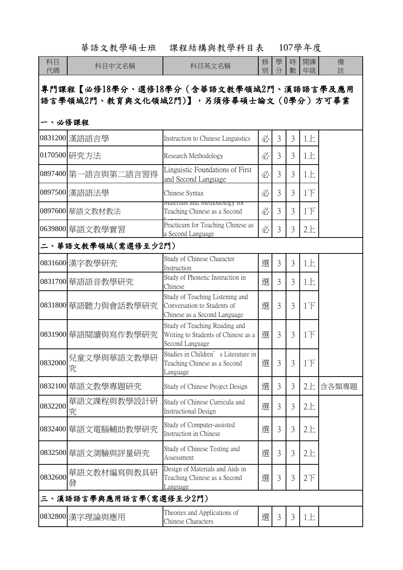|                                                                                           | 華語文教學碩士班            | 課程結構與教學科目表                                                                                     |        |                |        | 107學年度          |        |  |  |
|-------------------------------------------------------------------------------------------|---------------------|------------------------------------------------------------------------------------------------|--------|----------------|--------|-----------------|--------|--|--|
| 科目<br>代碼                                                                                  | 科目中文名稱              | 科目英文名稱                                                                                         | 修<br>別 | 學<br>分         | 時<br>數 | 開課<br>年級        | 備<br>註 |  |  |
| 專門課程【必修18學分、選修18學分(含華語文教學領域2門、漢語語言學及應用<br>語言學領域2門、教育與文化領域2門)】,另須修畢碩士論文(0學分)方可畢業<br>一、必修課程 |                     |                                                                                                |        |                |        |                 |        |  |  |
|                                                                                           | 0831200 漢語語言學       | Instruction to Chinese Linguistics                                                             | 必      | 3              | 3      | 1E              |        |  |  |
|                                                                                           | 0170500 研究方法        | Research Methodology                                                                           | 必      | 3              | 3      | 1E              |        |  |  |
|                                                                                           | 0897400 第一語言與第二語言習得 | Linguistic Foundations of First<br>and Second Language                                         | 必      | 3              | 3      | 1E              |        |  |  |
|                                                                                           | 0897500 漢語語法學       | Chinese Syntax                                                                                 | 必      | 3              | 3      | 1 <sup>T</sup>  |        |  |  |
|                                                                                           | 0897600 華語文教材教法     | <u>iviateriais and ivietnodology for</u><br>Teaching Chinese as a Second                       | 必      | 3              | 3      | 1 <sup>T</sup>  |        |  |  |
|                                                                                           | 0639800 華語文教學實習     | Practicum for Teaching Chinese as<br>a Second Language                                         | 必      | 3              | 3      | 2E              |        |  |  |
| 二、華語文教學領域(需選修至少2門)                                                                        |                     |                                                                                                |        |                |        |                 |        |  |  |
|                                                                                           | 0831600 漢字教學研究      | Study of Chinese Character<br>Instruction                                                      | 選      | 3              | 3      | 1E              |        |  |  |
|                                                                                           | 0831700 華語語音教學研究    | Study of Phonetic Instruction in<br>Chinese                                                    | 選      | 3              | 3      | 1E              |        |  |  |
|                                                                                           | 0831800 華語聽力與會話教學研究 | Study of Teaching Listening and<br>Conversation to Students of<br>Chinese as a Second Language | 選      | 3              | 3      | $1\overline{1}$ |        |  |  |
|                                                                                           | 0831900 華語閱讀與寫作教學研究 | Study of Teaching Reading and<br>Writing to Students of Chinese as a<br>Second Language        | 選      | 3              | 3      | $1\overline{1}$ |        |  |  |
| 0832000                                                                                   | 兒童文學與華語文教學研<br>究    | Studies in Children's Literature in<br>Teaching Chinese as a Second<br>Language                | 選      | 3              | 3      | 1 <sup>T</sup>  |        |  |  |
|                                                                                           | 0832100 華語文教學專題研究   | Study of Chinese Project Design                                                                | 選      | 3              | 3      | 2E              | 含各類專題  |  |  |
| 0832200                                                                                   | 華語文課程與教學設計研<br>究    | Study of Chinese Curricula and<br><b>Instructional Design</b>                                  | 選      | 3              | 3      | 2E              |        |  |  |
|                                                                                           | 0832400 華語文電腦輔助教學研究 | Study of Computer-assisted<br>Instruction in Chinese                                           | 選      | 3              | 3      | 2E              |        |  |  |
|                                                                                           | 0832500 華語文測驗與評量研究  | Study of Chinese Testing and<br>Assessment                                                     | 選      | $\overline{3}$ | 3      | 2E              |        |  |  |
| 0832600                                                                                   | 華語文教材編寫與教具研<br>發    | Design of Materials and Aids in<br>Teaching Chinese as a Second<br><u>Language</u>             | 選      | 3              | 3      | $2\top$         |        |  |  |
| 三丶漢語語言學與應用語言學(需選修至少2門)                                                                    |                     |                                                                                                |        |                |        |                 |        |  |  |
|                                                                                           | 0832800 漢字理論與應用     | Theories and Applications of<br>Chinese Characters                                             | 選      | 3              | 3      | 1E              |        |  |  |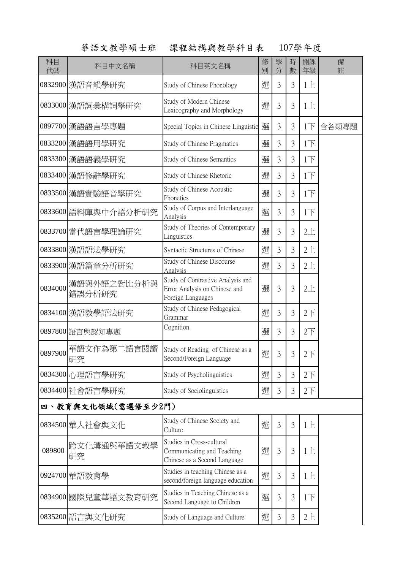## 華語文教學碩士班 課程結構與教學科目表 107學年度

| 科目<br>代碼           | 科目中文名稱                | 科目英文名稱                                                                                  | 修<br>別 | 學<br>分 | 時<br>數         | 開課<br>年級        | 備<br>註 |  |
|--------------------|-----------------------|-----------------------------------------------------------------------------------------|--------|--------|----------------|-----------------|--------|--|
|                    | 0832900 漢語音韻學研究       | Study of Chinese Phonology                                                              | 選      | 3      | 3              | 1E              |        |  |
|                    | 0833000 漢語詞彙構詞學研究     | Study of Modern Chinese<br>Lexicography and Morphology                                  | 選      | 3      | 3              | 1E              |        |  |
|                    | 0897700 漢語語言學專題       | Special Topics in Chinese Linguistic                                                    | 選      | 3      | 3              | $1\overline{1}$ | 含各類專題  |  |
|                    | 0833200 漢語語用學研究       | Study of Chinese Pragmatics                                                             | 選      | 3      | 3              | $1\overline{1}$ |        |  |
|                    | 0833300 漢語語義學研究       | Study of Chinese Semantics                                                              | 選      | 3      | 3              | $1\overline{F}$ |        |  |
|                    | 0833400 漢語修辭學研究       | Study of Chinese Rhetoric                                                               | 選      | 3      | 3              | $1\overline{1}$ |        |  |
|                    | 0833500 漢語實驗語音學研究     | Study of Chinese Acoustic<br>Phonetics                                                  | 選      | 3      | 3              | $1\overline{1}$ |        |  |
|                    | 0833600 語料庫與中介語分析研究   | Study of Corpus and Interlanguage<br>Analysis                                           | 選      | 3      | 3              | 1 <sub>T</sub>  |        |  |
|                    | 0833700 當代語言學理論研究     | Study of Theories of Contemporary<br>Linguistics                                        | 選      | 3      | 3              | 2E              |        |  |
|                    | 0833800 漢語語法學研究       | Syntactic Structures of Chinese                                                         | 選      | 3      | 3              | 2E              |        |  |
|                    | 0833900 漢語篇章分析研究      | Study of Chinese Discourse<br>Analysis                                                  | 選      | 3      | 3              | 2E              |        |  |
| 0834000            | 漢語與外語之對比分析與<br>錯誤分析研究 | Study of Contrastive Analysis and<br>Error Analysis on Chinese and<br>Foreign Languages | 選      | 3      | 3              | 2E              |        |  |
|                    | 0834100 漢語教學語法研究      | Study of Chinese Pedagogical<br>Grammar                                                 | 選      | 3      | 3              | $2\overline{1}$ |        |  |
|                    | 0897800 語言與認知專題       | Cognition                                                                               | 選      | 3      | 3              | $2\top$         |        |  |
| 0897900            | 華語文作為第二語言閱讀<br>研究     | Study of Reading of Chinese as a<br>Second/Foreign Language                             | 選      | 3      | 3              | $2\top$         |        |  |
|                    | 0834300 心理語言學研究       | Study of Psycholinguistics                                                              | 選      | 3      | 3              | $2\overline{F}$ |        |  |
|                    | 0834400 社會語言學研究       | Study of Sociolinguistics                                                               | 選      | 3      | 3              | $2\overline{1}$ |        |  |
| 四、教育與文化領域(需選修至少2門) |                       |                                                                                         |        |        |                |                 |        |  |
|                    | 0834500 華人社會與文化       | Study of Chinese Society and<br>Culture                                                 | 選      | 3      | $\overline{3}$ | 1E              |        |  |
| 089800             | 跨文化溝通與華語文教學<br>研究     | Studies in Cross-cultural<br>Communicating and Teaching<br>Chinese as a Second Language | 選      | 3      | 3              | 1E              |        |  |
|                    | 0924700 華語教育學         | Studies in teaching Chinese as a<br>second/foreign language education                   | 選      | 3      | 3              | 1E              |        |  |
|                    | 0834900 國際兒童華語文教育研究   | Studies in Teaching Chinese as a<br>Second Language to Children                         | 選      | 3      | 3              | $1\overline{1}$ |        |  |
|                    | 0835200 語言與文化研究       | Study of Language and Culture                                                           | 選      | 3      | 3              | 2E              |        |  |